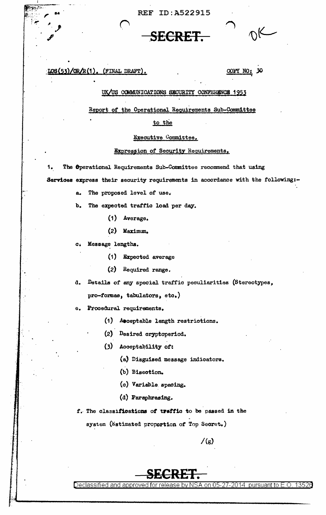REF ID:A522915

**.SECRET .** 

 $|cos(53)/OR/R(1)$ , (FINAL DRAFT). COPY NO: 30

•

## UK/US COMMUNICATIONS SECURITY CONFERENCE 1953

Report of the Operational Requirements Sub-Committee

to the

## Executive Committee.

## Expression of Security Reguirements.

1. The Operational Requirements Sub-Committee recommend that using Services express their security requirements in accordance with the following:-

a. The proposed level of use.

b. The expected traffic load per day.

- ( 1) Average,
- (2) Maximum,

c. Mesaage lengths.

• .. ,.

.J!i

- (1) Expected average
- (2) Required range.

d. Details of eny special traffic peculiarities (Stereotypes,  $pro-formee$ , tabulators,  $eto.$ )

e. Procedural requirements,

(1) Aeceptable length restrictions,

(2) Desired oryptoperiod.

 $(3)$  Acceptability of:

(a) Disguised message indicators.

(b) Bisection.

- (o) Variable. speoing.
- (d) Paraphrasing.

f. The classifications of traffic to be passed in the

system (Estimated proportion of Top Secret.)

 $/(g)$ 

## **SECRET.**

Declassified and approved for release by NSA on 05-27-2014 pursuant to E.O. 13526